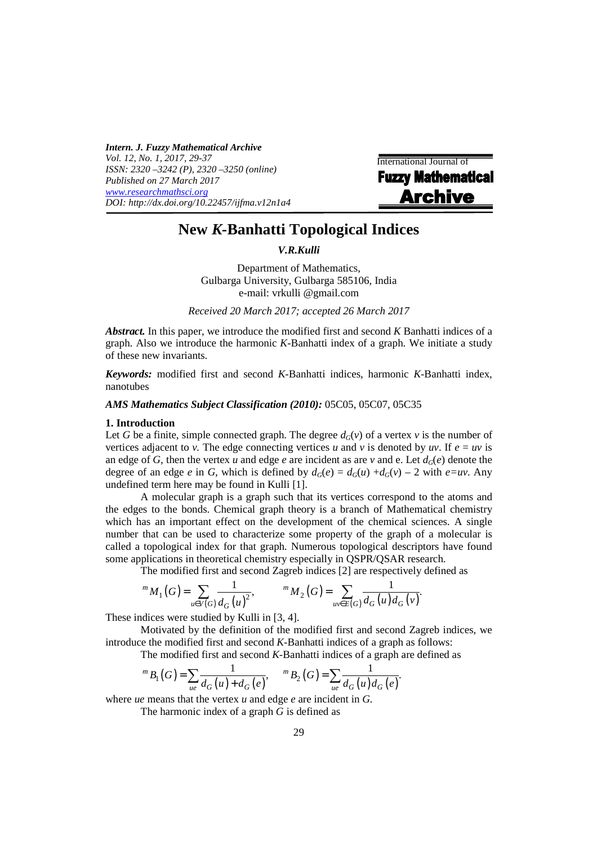*Intern. J. Fuzzy Mathematical Archive Vol. 12, No. 1, 2017, 29-37 ISSN: 2320 –3242 (P), 2320 –3250 (online) Published on 27 March 2017 www.researchmathsci.org DOI: http://dx.doi.org/10.22457/ijfma.v12n1a4* 

International Journal of **Fuzzy Mathematical Archive** 

# **New** *K-***Banhatti Topological Indices**

*V.R.Kulli* 

Department of Mathematics, Gulbarga University, Gulbarga 585106, India e-mail: vrkulli @gmail.com

*Received 20 March 2017; accepted 26 March 2017* 

*Abstract.* In this paper, we introduce the modified first and second *K* Banhatti indices of a graph. Also we introduce the harmonic *K-*Banhatti index of a graph. We initiate a study of these new invariants.

*Keywords:* modified first and second *K-*Banhatti indices, harmonic *K-*Banhatti index, nanotubes

# *AMS Mathematics Subject Classification (2010):* 05C05, 05C07, 05C35

#### **1. Introduction**

Let *G* be a finite, simple connected graph. The degree  $d_G(v)$  of a vertex *v* is the number of vertices adjacent to *v*. The edge connecting vertices *u* and *v* is denoted by *uv*. If  $e = uv$  is an edge of *G*, then the vertex *u* and edge *e* are incident as are *v* and e. Let  $d_G(e)$  denote the degree of an edge *e* in *G*, which is defined by  $d_G(e) = d_G(u) + d_G(v) - 2$  with  $e=uv$ . Any undefined term here may be found in Kulli [1].

 A molecular graph is a graph such that its vertices correspond to the atoms and the edges to the bonds. Chemical graph theory is a branch of Mathematical chemistry which has an important effect on the development of the chemical sciences. A single number that can be used to characterize some property of the graph of a molecular is called a topological index for that graph. Numerous topological descriptors have found some applications in theoretical chemistry especially in QSPR/QSAR research.

The modified first and second Zagreb indices [2] are respectively defined as

$$
{}^{m} M_{1}(G) = \sum_{u \in V(G)} \frac{1}{d_{G}(u)^{2}}, \qquad {}^{m} M_{2}(G) = \sum_{uv \in E(G)} \frac{1}{d_{G}(u) d_{G}(v)}.
$$

These indices were studied by Kulli in [3, 4].

 Motivated by the definition of the modified first and second Zagreb indices, we introduce the modified first and second *K-*Banhatti indices of a graph as follows:

The modified first and second *K-*Banhatti indices of a graph are defined as

$$
{}^{m}B_{1}(G) = \sum_{ue} \frac{1}{d_{G}(u) + d_{G}(e)}, \qquad {}^{m}B_{2}(G) = \sum_{ue} \frac{1}{d_{G}(u)d_{G}(e)}.
$$

where *ue* means that the vertex *u* and edge *e* are incident in *G.* 

The harmonic index of a graph *G* is defined as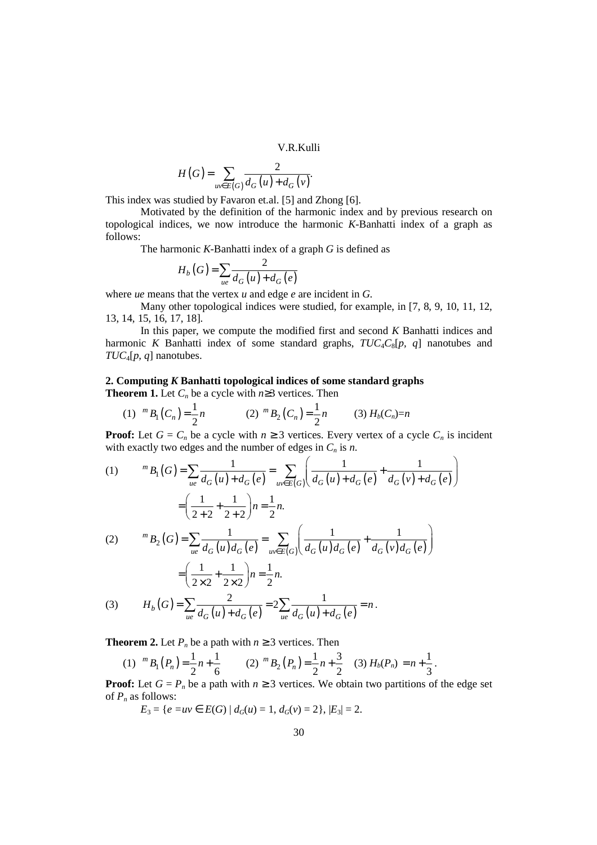V.R.Kulli

$$
H(G) = \sum_{uv \in E(G)} \frac{2}{d_G(u) + d_G(v)}.
$$

This index was studied by Favaron et.al. [5] and Zhong [6].

 Motivated by the definition of the harmonic index and by previous research on topological indices, we now introduce the harmonic *K-*Banhatti index of a graph as follows:

The harmonic *K-*Banhatti index of a graph *G* is defined as

$$
H_b(G) = \sum_{ue} \frac{2}{d_G(u) + d_G(e)}
$$

where *ue* means that the vertex *u* and edge *e* are incident in *G.*

 Many other topological indices were studied, for example, in [7, 8, 9, 10, 11, 12, 13, 14, 15, 16, 17, 18].

 In this paper, we compute the modified first and second *K* Banhatti indices and harmonic *K* Banhatti index of some standard graphs, *TUC*4*C*8[*p, q*] nanotubes and *TUC*4[*p, q*] nanotubes.

# **2. Computing** *K* **Banhatti topological indices of some standard graphs**

**Theorem 1.** Let  $C_n$  be a cycle with  $n \geq 3$  vertices. Then

(1) 
$$
{}^m B_1(C_n) = \frac{1}{2}n
$$
   
 (2)  ${}^m B_2(C_n) = \frac{1}{2}n$    
 (3)  $H_b(C_n) = n$ 

**Proof:** Let  $G = C_n$  be a cycle with  $n \ge 3$  vertices. Every vertex of a cycle  $C_n$  is incident with exactly two edges and the number of edges in  $C_n$  is *n*.

(1) 
$$
{}^{m}B_{1}(G) = \sum_{ue} \frac{1}{d_{G}(u) + d_{G}(e)} = \sum_{uv \in E(G)} \left( \frac{1}{d_{G}(u) + d_{G}(e)} + \frac{1}{d_{G}(v) + d_{G}(e)} \right)
$$

$$
= \left( \frac{1}{2+2} + \frac{1}{2+2} \right) n = \frac{1}{2} n.
$$
  
(2) 
$$
{}^{m}B_{2}(G) = \sum_{ue} \frac{1}{d_{G}(u) d_{G}(e)} = \sum_{uv \in E(G)} \left( \frac{1}{d_{G}(u) d_{G}(e)} + \frac{1}{d_{G}(v) d_{G}(e)} \right)
$$

$$
= \left( \frac{1}{2 \times 2} + \frac{1}{2 \times 2} \right) n = \frac{1}{2} n.
$$
  
(3) 
$$
H_{b}(G) = \sum_{ue} \frac{2}{d_{G}(u) + d_{G}(e)} = 2 \sum_{ue} \frac{1}{d_{G}(u) + d_{G}(e)} = n.
$$

**Theorem 2.** Let  $P_n$  be a path with  $n \geq 3$  vertices. Then

(1) 
$$
{}^m B_1(P_n) = \frac{1}{2}n + \frac{1}{6}
$$
 (2)  ${}^m B_2(P_n) = \frac{1}{2}n + \frac{3}{2}$  (3)  $H_b(P_n) = n + \frac{1}{3}$ .

**Proof:** Let  $G = P_n$  be a path with  $n \geq 3$  vertices. We obtain two partitions of the edge set of  $P_n$  as follows:

*E*<sub>3</sub> = { $e = uv \in E(G) | d_G(u) = 1, d_G(v) = 2$ },  $|E_3| = 2$ .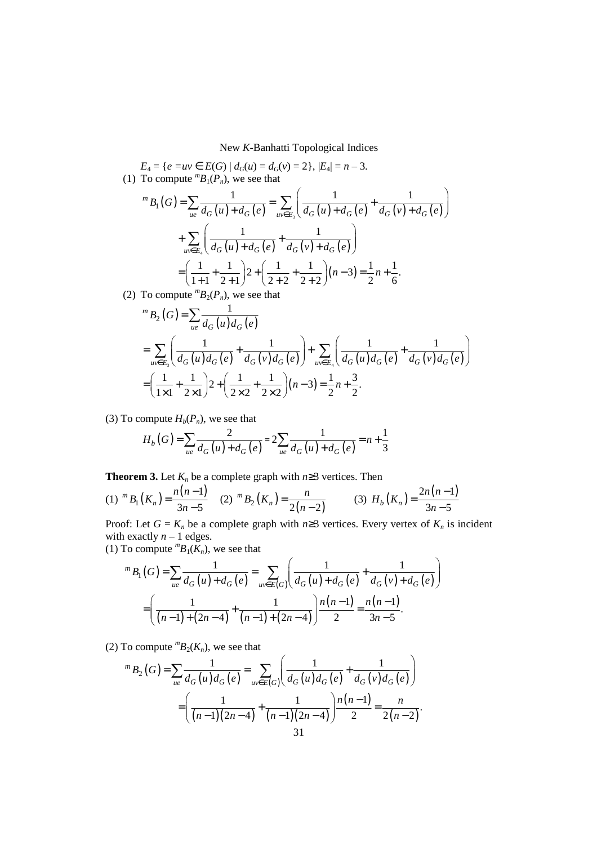$E_4 = \{e = uv \in E(G) \mid d_G(u) = d_G(v) = 2\}, |E_4| = n - 3.$ (1) To compute  ${}^mB_1(P_n)$ , we see that  $(G) = \sum_{ue} \frac{1}{d_G(u) + d_G(e)} = \sum_{uv \in E_3} \left( \frac{1}{d_G(u) + d_G(e)} + \frac{1}{d_G(v) + d_G(e)} \right)$  ${}^{m}B_{1}(G) = \sum \frac{1}{\frac{1}{2\cdot f(x)+1} \cdot \frac{1}{2\cdot f(x)}} = \sum \left( \frac{1}{\frac{1}{2\cdot f(x)+1} \cdot \frac{1}{2\cdot f(x)+1} \cdot \frac{1}{2\cdot f(x)+1}} \right)$ *ue*  $u_G(u) + u_G(e)$   $u_{\nu \in E_3}(u_G(u) + u_G(e))$   $u_G(v) + u_G$  $B_1$  (  $G$  $d_G(u) + d_G(e)$   $\underset{uv \in E_3}{\sim} d_G(u) + d_G(e)$   $d_G(v) + d_G(e)$  $\begin{pmatrix} 1 & 1 \end{pmatrix}$  $=\sum_{ue}\frac{1}{d_G(u)+d_G(e)}=\sum_{uv\in E_3}\left(\frac{1}{d_G(u)+d_G(e)}+\frac{1}{d_G(v)+d_G(e)}\right)$  $(u) + d_G(e)$   $d_G(v) + d_G(e)$ 4 1 1  $\sum_{uv \in E_4} d_G(u) + d_G(e) \quad d_G(v) + d_G(e)$  $\begin{pmatrix} 1 & 1 \end{pmatrix}$ +  $\sum_{w \in E_4} \left( \frac{1}{d_G(u) + d_G(e)} + \frac{1}{d_G(v) + d_G(e)} \right)$  $\frac{1}{1+1} + \frac{1}{2+1}$   $2 + \left(\frac{1}{2+2} + \frac{1}{2+2}\right)(n-3) = \frac{1}{2}n + \frac{1}{6}$ .  $=\left(\frac{1}{1+1}+\frac{1}{2+1}\right)2+\left(\frac{1}{2+2}+\frac{1}{2+2}\right)(n-3)=\frac{1}{2}n+$ 

(2) To compute  ${}^mB_2(P_n)$ , we see that

$$
{}^{m}B_{2}(G) = \sum_{ue} \frac{1}{d_{G}(u)d_{G}(e)}
$$
  
= 
$$
\sum_{uv \in E_{3}} \left( \frac{1}{d_{G}(u)d_{G}(e)} + \frac{1}{d_{G}(v)d_{G}(e)} \right) + \sum_{uv \in E_{4}} \left( \frac{1}{d_{G}(u)d_{G}(e)} + \frac{1}{d_{G}(v)d_{G}(e)} \right)
$$
  
= 
$$
\left( \frac{1}{1\times1} + \frac{1}{2\times1} \right) 2 + \left( \frac{1}{2\times2} + \frac{1}{2\times2} \right) (n-3) = \frac{1}{2}n + \frac{3}{2}.
$$

(3) To compute  $H_b(P_n)$ , we see that

$$
H_b(G) = \sum_{ue} \frac{2}{d_G(u) + d_G(e)} = 2 \sum_{ue} \frac{1}{d_G(u) + d_G(e)} = n + \frac{1}{3}
$$

**Theorem 3.** Let  $K_n$  be a complete graph with  $n \geq 3$  vertices. Then

(1) 
$$
{}^{m}B_{1}(K_{n}) = \frac{n(n-1)}{3n-5}
$$
 (2)  ${}^{m}B_{2}(K_{n}) = \frac{n}{2(n-2)}$  (3)  $H_{b}(K_{n}) = \frac{2n(n-1)}{3n-5}$ 

Proof: Let  $G = K_n$  be a complete graph with  $n \geq 3$  vertices. Every vertex of  $K_n$  is incident with exactly  $n - 1$  edges.

(1) To compute  ${}^mB_1(K_n)$ , we see that

$$
{}^{m}B_{1}(G) = \sum_{ue} \frac{1}{d_{G}(u) + d_{G}(e)} = \sum_{uv \in E(G)} \left( \frac{1}{d_{G}(u) + d_{G}(e)} + \frac{1}{d_{G}(v) + d_{G}(e)} \right)
$$

$$
= \left( \frac{1}{(n-1) + (2n-4)} + \frac{1}{(n-1) + (2n-4)} \right) \frac{n(n-1)}{2} = \frac{n(n-1)}{3n-5}.
$$

(2) To compute  ${}^mB_2(K_n)$ , we see that

$$
{}^{m}B_{2}(G) = \sum_{ue} \frac{1}{d_{G}(u)d_{G}(e)} = \sum_{uv \in E(G)} \left( \frac{1}{d_{G}(u)d_{G}(e)} + \frac{1}{d_{G}(v)d_{G}(e)} \right)
$$

$$
= \left( \frac{1}{(n-1)(2n-4)} + \frac{1}{(n-1)(2n-4)} \right) \frac{n(n-1)}{2} = \frac{n}{2(n-2)}.
$$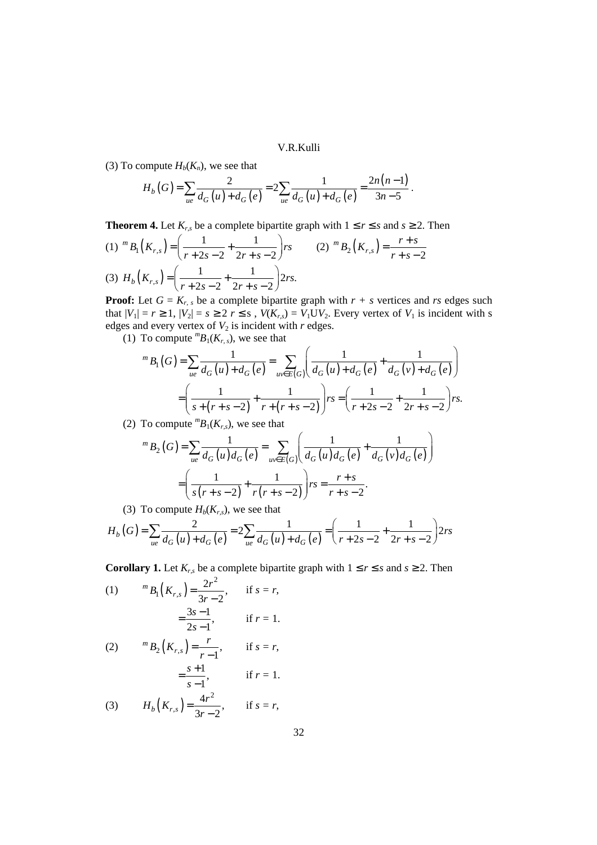V.R.Kulli

(3) To compute  $H_b(K_n)$ , we see that

$$
H_b(G) = \sum_{ue} \frac{2}{d_G(u) + d_G(e)} = 2 \sum_{ue} \frac{1}{d_G(u) + d_G(e)} = \frac{2n(n-1)}{3n-5}.
$$

**Theorem 4.** Let  $K_{r,s}$  be a complete bipartite graph with  $1 \leq r \leq s$  and  $s \geq 2$ . Then

(1) 
$$
{}^{m}B_{1}(K_{r,s}) = \left(\frac{1}{r+2s-2} + \frac{1}{2r+s-2}\right)rs
$$
 (2)  ${}^{m}B_{2}(K_{r,s}) = \frac{r+s}{r+s-2}$   
(3)  $H_{b}(K_{r,s}) = \left(\frac{1}{r+2s-2} + \frac{1}{2r+s-2}\right)2rs.$ 

**Proof:** Let  $G = K_{r,s}$  be a complete bipartite graph with  $r + s$  vertices and *rs* edges such that  $|V_1| = r \ge 1$ ,  $|V_2| = s \ge 2$   $r \le s$ ,  $V(K_{r,s}) = V_1UV_2$ . Every vertex of  $V_1$  is incident with s edges and every vertex of  $V_2$  is incident with  $r$  edges.

(1) To compute  ${}^mB_1(K_{r,s})$ , we see that

$$
{}^{m}B_{1}(G) = \sum_{ue} \frac{1}{d_{G}(u) + d_{G}(e)} = \sum_{uv \in E(G)} \left( \frac{1}{d_{G}(u) + d_{G}(e)} + \frac{1}{d_{G}(v) + d_{G}(e)} \right)
$$

$$
= \left( \frac{1}{s + (r + s - 2)} + \frac{1}{r + (r + s - 2)} \right) rs = \left( \frac{1}{r + 2s - 2} + \frac{1}{2r + s - 2} \right) rs.
$$

(2) To compute  ${}^mB_1(K_{r,s})$ , we see that

$$
{}^{m}B_{2}(G) = \sum_{ue} \frac{1}{d_{G}(u)d_{G}(e)} = \sum_{uv \in E(G)} \left( \frac{1}{d_{G}(u)d_{G}(e)} + \frac{1}{d_{G}(v)d_{G}(e)} \right)
$$

$$
= \left( \frac{1}{s(r+s-2)} + \frac{1}{r(r+s-2)} \right)rs = \frac{r+s}{r+s-2}.
$$

(3) To compute  $H_b(K_{r,s})$ , we see that

$$
H_b(G) = \sum_{ue} \frac{2}{d_G(u) + d_G(e)} = 2 \sum_{ue} \frac{1}{d_G(u) + d_G(e)} = \left(\frac{1}{r + 2s - 2} + \frac{1}{2r + s - 2}\right) 2rs
$$

**Corollary 1.** Let  $K_{r,s}$  be a complete bipartite graph with  $1 \le r \le s$  and  $s \ge 2$ . Then

(1) 
$$
{}^{m}B_{1}(K_{r,s}) = \frac{2r^{2}}{3r - 2}, \text{ if } s = r,
$$

$$
= \frac{3s - 1}{2s - 1}, \text{ if } r = 1.
$$

(2) 
$$
{}^{m}B_{2}(K_{r,s}) = \frac{r}{r-1}
$$
, if  $s = r$ ,  
 $= \frac{s+1}{r-1}$ , if  $r = 1$ .

(3) 
$$
S-1
$$
  

$$
H_b(K_{r,s}) = \frac{4r^2}{3r-2}, \quad \text{if } s = r,
$$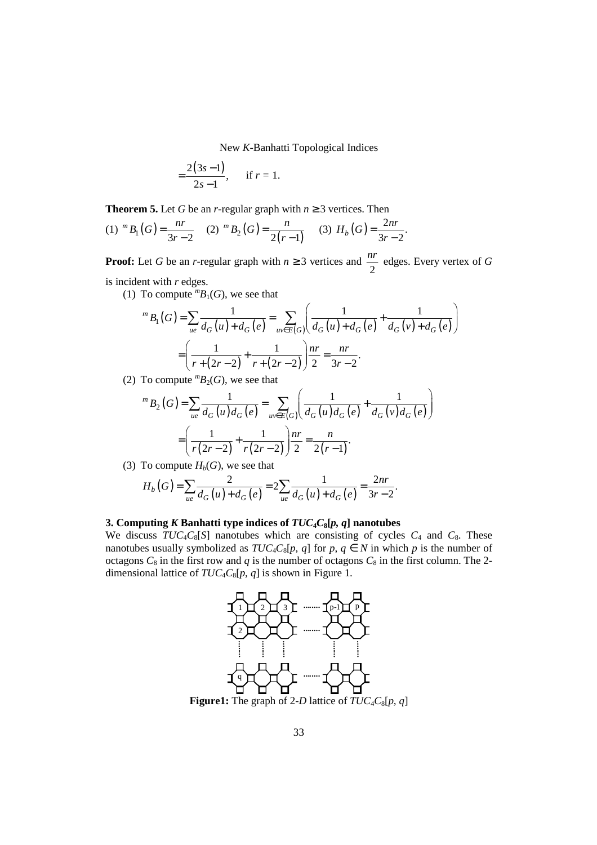$$
=\frac{2(3s-1)}{2s-1}, \quad \text{if } r=1.
$$

**Theorem 5.** Let *G* be an *r*-regular graph with  $n \geq 3$  vertices. Then

(1) 
$$
{}^m B_1(G) = \frac{nr}{3r-2}
$$
 (2)  ${}^m B_2(G) = \frac{n}{2(r-1)}$  (3)  $H_b(G) = \frac{2nr}{3r-2}$ .

**Proof:** Let *G* be an *r*-regular graph with  $n \geq 3$  vertices and 2  $\frac{nr}{2}$  edges. Every vertex of *G* is incident with *r* edges.

(1) To compute  ${}^mB_1(G)$ , we see that

$$
{}^{m}B_{1}(G) = \sum_{ue} \frac{1}{d_{G}(u) + d_{G}(e)} = \sum_{uv \in E(G)} \left( \frac{1}{d_{G}(u) + d_{G}(e)} + \frac{1}{d_{G}(v) + d_{G}(e)} \right)
$$

$$
= \left( \frac{1}{r + (2r - 2)} + \frac{1}{r + (2r - 2)} \right) \frac{nr}{2} = \frac{nr}{3r - 2}.
$$

(2) To compute  ${}^mB_2(G)$ , we see that

$$
{}^{m}B_{2}(G) = \sum_{ue} \frac{1}{d_{G}(u)d_{G}(e)} = \sum_{uv \in E(G)} \left( \frac{1}{d_{G}(u)d_{G}(e)} + \frac{1}{d_{G}(v)d_{G}(e)} \right)
$$

$$
= \left( \frac{1}{r(2r-2)} + \frac{1}{r(2r-2)} \right) \frac{nr}{2} = \frac{n}{2(r-1)}.
$$

(3) To compute  $H_b(G)$ , we see that

$$
H_b(G) = \sum_{ue} \frac{2}{d_G(u) + d_G(e)} = 2 \sum_{ue} \frac{1}{d_G(u) + d_G(e)} = \frac{2nr}{3r - 2}.
$$

## **3. Computing** *K* **Banhatti type indices of** *TUC***4***C***8[***p, q***] nanotubes**

We discuss  $TUC_4C_8[S]$  nanotubes which are consisting of cycles  $C_4$  and  $C_8$ . These nanotubes usually symbolized as  $TUC_4C_8[p, q]$  for  $p, q \in N$  in which  $p$  is the number of octagons  $C_8$  in the first row and  $q$  is the number of octagons  $C_8$  in the first column. The 2dimensional lattice of  $TUC_4C_8[p, q]$  is shown in Figure 1.

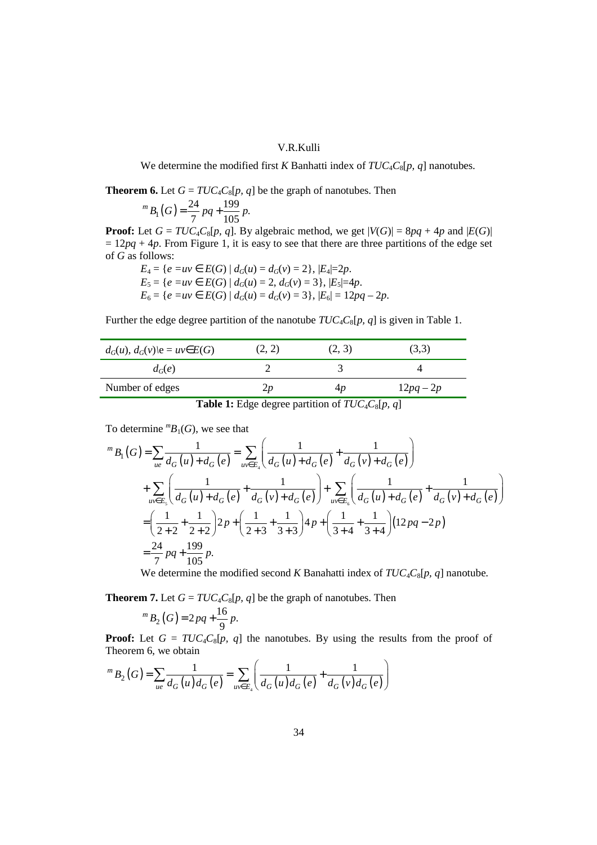## V.R.Kulli

We determine the modified first *K* Banhatti index of *TUC*4*C*8[*p, q*] nanotubes.

**Theorem 6.** Let  $G = TUC_4C_8[p, q]$  be the graph of nanotubes. Then

$$
{}^{m}B_{1}(G) = \frac{24}{7}pq + \frac{199}{105}p.
$$

**Proof:** Let  $G = TUC_4C_8[p, q]$ . By algebraic method, we get  $|V(G)| = 8pq + 4p$  and  $|E(G)|$  $= 12pq + 4p$ . From Figure 1, it is easy to see that there are three partitions of the edge set of *G* as follows:

$$
E_4 = \{e = uv \in E(G) \mid d_G(u) = d_G(v) = 2\}, |E_4| = 2p.
$$
  
\n
$$
E_5 = \{e = uv \in E(G) \mid d_G(u) = 2, d_G(v) = 3\}, |E_5| = 4p.
$$
  
\n
$$
E_6 = \{e = uv \in E(G) \mid d_G(u) = d_G(v) = 3\}, |E_6| = 12pq - 2p.
$$

Further the edge degree partition of the nanotube  $TUC_4C_8[p, q]$  is given in Table 1.

| $d_G(u)$ , $d_G(v)$ $\in u \vee E(G)$ | (2, 2)         | (2, 3) | (3,3)       |
|---------------------------------------|----------------|--------|-------------|
| $d_G(e)$                              |                |        |             |
| Number of edges                       | $\mathcal{L}p$ | 4p     | $12pq - 2p$ |

**Table 1:** Edge degree partition of  $TUC_4C_8[p, q]$ 

To determine  ${}^mB_1(G)$ , we see that

$$
{}^{m}B_{1}(G) = \sum_{ue} \frac{1}{d_{G}(u) + d_{G}(e)} = \sum_{uv \in E_{4}} \left( \frac{1}{d_{G}(u) + d_{G}(e)} + \frac{1}{d_{G}(v) + d_{G}(e)} \right)
$$
  
+ 
$$
\sum_{uv \in E_{5}} \left( \frac{1}{d_{G}(u) + d_{G}(e)} + \frac{1}{d_{G}(v) + d_{G}(e)} \right) + \sum_{uv \in E_{6}} \left( \frac{1}{d_{G}(u) + d_{G}(e)} + \frac{1}{d_{G}(v) + d_{G}(e)} \right)
$$
  
= 
$$
\left( \frac{1}{2+2} + \frac{1}{2+2} \right) 2p + \left( \frac{1}{2+3} + \frac{1}{3+3} \right) 4p + \left( \frac{1}{3+4} + \frac{1}{3+4} \right) (12pq - 2p)
$$
  
= 
$$
\frac{24}{7} pq + \frac{199}{105} p.
$$

We determine the modified second *K* Banahatti index of *TUC*4*C*8[*p, q*] nanotube.

**Theorem 7.** Let  $G = TUC_4C_8[p, q]$  be the graph of nanotubes. Then

$$
{}^{m}B_{2}(G)=2pq+\frac{16}{9}p.
$$

**Proof:** Let  $G = TUC_4C_8[p, q]$  the nanotubes. By using the results from the proof of Theorem 6, we obtain

$$
{}^{m}B_{2}(G) = \sum_{ue} \frac{1}{d_{G}(u) d_{G}(e)} = \sum_{uv \in E_{4}} \left( \frac{1}{d_{G}(u) d_{G}(e)} + \frac{1}{d_{G}(v) d_{G}(e)} \right)
$$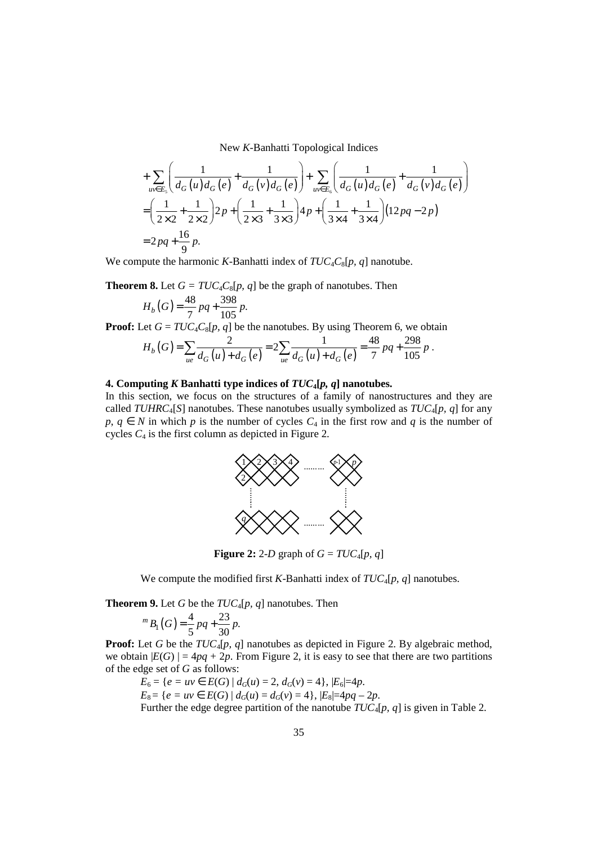$$
+\sum_{uv\in E_s} \left( \frac{1}{d_G(u)d_G(e)} + \frac{1}{d_G(v)d_G(e)} \right) + \sum_{uv\in E_s} \left( \frac{1}{d_G(u)d_G(e)} + \frac{1}{d_G(v)d_G(e)} \right)
$$
  
=  $\left( \frac{1}{2\times2} + \frac{1}{2\times2} \right) 2p + \left( \frac{1}{2\times3} + \frac{1}{3\times3} \right) 4p + \left( \frac{1}{3\times4} + \frac{1}{3\times4} \right) (12pq - 2p)$   
=  $2pq + \frac{16}{9}p$ .

We compute the harmonic *K-*Banhatti index of *TUC*4*C*8[*p, q*] nanotube.

**Theorem 8.** Let  $G = TUC_4C_8[p, q]$  be the graph of nanotubes. Then

$$
H_b(G) = \frac{48}{7}pq + \frac{398}{105}p.
$$

**Proof:** Let  $G = TUC_4C_8[p, q]$  be the nanotubes. By using Theorem 6, we obtain

$$
H_b(G) = \sum_{ue} \frac{2}{d_G(u) + d_G(e)} = 2 \sum_{ue} \frac{1}{d_G(u) + d_G(e)} = \frac{48}{7} pq + \frac{298}{105} p
$$

.

#### **4. Computing** *K* **Banhatti type indices of** *TUC***4[***p, q***] nanotubes.**

In this section, we focus on the structures of a family of nanostructures and they are called *TUHRC*4[*S*] nanotubes. These nanotubes usually symbolized as *TUC*4[*p, q*] for any *p*, *q* ∈ *N* in which *p* is the number of cycles  $C_4$  in the first row and *q* is the number of cycles  $C_4$  is the first column as depicted in Figure 2.



**Figure 2:** 2-*D* graph of  $G = TUC_4[p, q]$ 

We compute the modified first *K-*Banhatti index of *TUC*4[*p, q*] nanotubes.

**Theorem 9.** Let *G* be the *TUC*4[*p, q*] nanotubes. Then

$$
{}^{m}B_{1}(G) = \frac{4}{5}pq + \frac{23}{30}p.
$$

**Proof:** Let *G* be the  $TUC_4[p, q]$  nanotubes as depicted in Figure 2. By algebraic method, we obtain  $|E(G)| = 4pq + 2p$ . From Figure 2, it is easy to see that there are two partitions of the edge set of *G* as follows:

$$
E_6 = \{e = uv \in E(G) \mid d_G(u) = 2, d_G(v) = 4\}, |E_6| = 4p.
$$
  
\n
$$
E_8 = \{e = uv \in E(G) \mid d_G(u) = d_G(v) = 4\}, |E_8| = 4pq - 2p.
$$
  
\nFurther the edge degree partition of the nanotube  $TUC_4[p, q]$  is given in Table 2.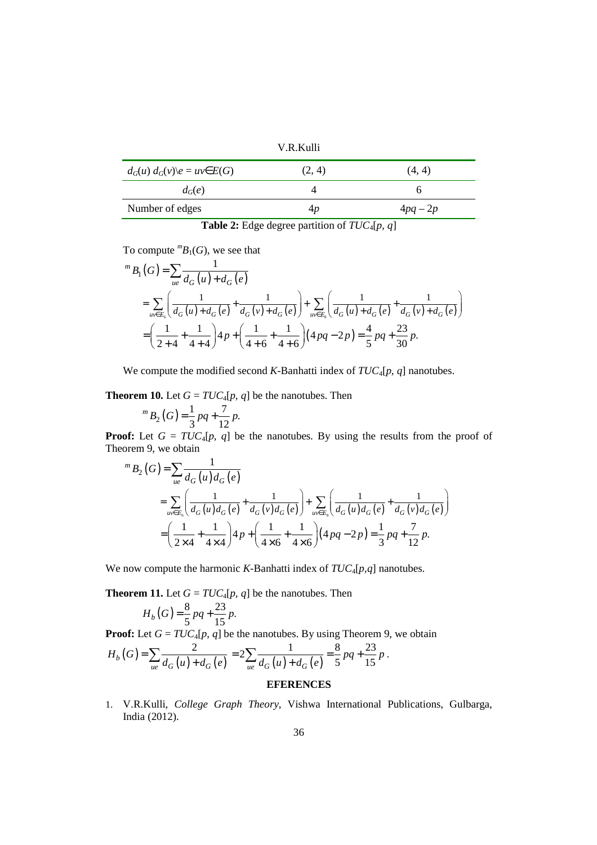V.R.Kulli

| $d_G(u) d_G(v) \geq u v \in E(G)$ | (2, 4) | (4, 4)   |
|-----------------------------------|--------|----------|
| $d_G(e)$                          |        |          |
| Number of edges                   |        | $4pq-2p$ |

**Table 2:** Edge degree partition of *TUC*4[*p, q*]

To compute  ${}^mB_1(G)$ , we see that

$$
{}^{m}B_{1}(G) = \sum_{ue} \frac{1}{d_{G}(u) + d_{G}(e)}
$$
  
= 
$$
\sum_{uv \in E_{6}} \left( \frac{1}{d_{G}(u) + d_{G}(e)} + \frac{1}{d_{G}(v) + d_{G}(e)} \right) + \sum_{uv \in E_{8}} \left( \frac{1}{d_{G}(u) + d_{G}(e)} + \frac{1}{d_{G}(v) + d_{G}(e)} \right)
$$
  
= 
$$
\left( \frac{1}{2+4} + \frac{1}{4+4} \right) 4p + \left( \frac{1}{4+6} + \frac{1}{4+6} \right) (4pq - 2p) = \frac{4}{5}pq + \frac{23}{30}p.
$$

We compute the modified second *K-*Banhatti index of *TUC*4[*p, q*] nanotubes.

**Theorem 10.** Let  $G = TUC_4[p, q]$  be the nanotubes. Then

 $P_2(G) = \frac{1}{2}pq + \frac{7}{12}p.$  $3^{r}$ <sup>2</sup> 12  $^{m}B_{2}(G) = \frac{1}{2}pq + \frac{1}{12}pq$ 

**Proof:** Let  $G = TUC_4[p, q]$  be the nanotubes. By using the results from the proof of Theorem 9, we obtain

$$
{}^{m}B_{2}(G) = \sum_{ue} \frac{1}{d_{G}(u)d_{G}(e)}
$$
  
= 
$$
\sum_{uv \in E_{\delta}} \left( \frac{1}{d_{G}(u)d_{G}(e)} + \frac{1}{d_{G}(v)d_{G}(e)} \right) + \sum_{uv \in E_{\delta}} \left( \frac{1}{d_{G}(u)d_{G}(e)} + \frac{1}{d_{G}(v)d_{G}(e)} \right)
$$
  
= 
$$
\left( \frac{1}{2\times4} + \frac{1}{4\times4} \right) 4p + \left( \frac{1}{4\times6} + \frac{1}{4\times6} \right) (4pq - 2p) = \frac{1}{3}pq + \frac{7}{12}p.
$$

We now compute the harmonic *K-*Banhatti index of *TUC*4[*p,q*] nanotubes.

**Theorem 11.** Let  $G = TUC_4[p, q]$  be the nanotubes. Then

$$
H_b(G) = \frac{8}{5}pq + \frac{23}{15}p.
$$

**Proof:** Let  $G = TUC_4[p, q]$  be the nanotubes. By using Theorem 9, we obtain

$$
H_b\left(G\right) = \sum_{ue} \frac{2}{d_G\left(u\right) + d_G\left(e\right)} = 2 \sum_{ue} \frac{1}{d_G\left(u\right) + d_G\left(e\right)} = \frac{8}{5}pq + \frac{23}{15}p.
$$

## **EFERENCES**

1. V.R.Kulli, *College Graph Theory*, Vishwa International Publications, Gulbarga, India (2012).